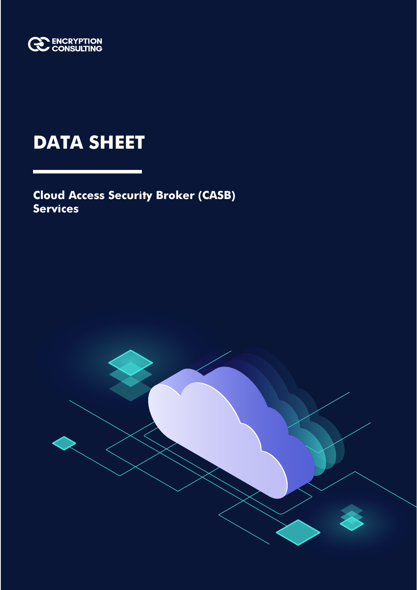

# **DATA SHEET**

**Cloud Access Security Broker (CASB) Services**

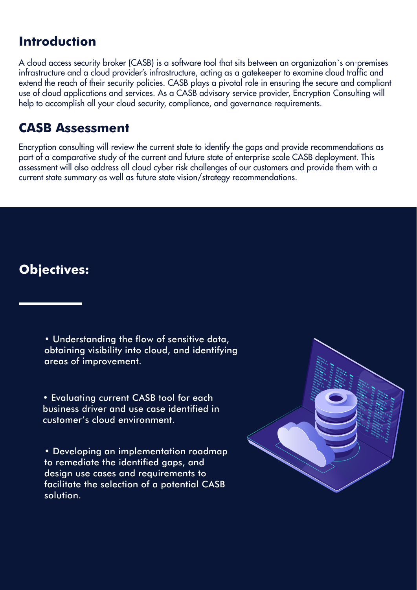# **Introduction**

A cloud access security broker (CASB) is a software tool that sits between an organization`s on-premises infrastructure and a cloud provider's infrastructure, acting as a gatekeeper to examine cloud traffic and extend the reach of their security policies. CASB plays a pivotal role in ensuring the secure and compliant use of cloud applications and services. As a CASB advisory service provider, Encryption Consulting will help to accomplish all your cloud security, compliance, and governance requirements.

## **CASB Assessment**

Encryption consulting will review the current state to identify the gaps and provide recommendations as part of a comparative study of the current and future state of enterprise scale CASB deployment. This assessment will also address all cloud cyber risk challenges of our customers and provide them with a current state summary as well as future state vision/strategy recommendations.

# **Objectives:**

• Understanding the flow of sensitive data, obtaining visibility into cloud, and identifying areas of improvement.

• Evaluating current CASB tool for each business driver and use case identified in customer's cloud environment.

• Developing an implementation roadmap to remediate the identified gaps, and design use cases and requirements to facilitate the selection of a potential CASB solution.

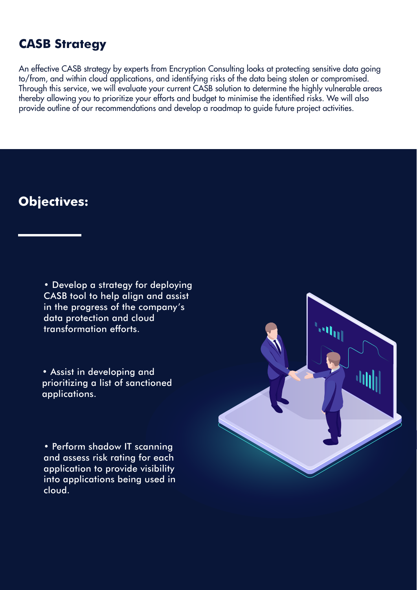### **CASB Strategy**

An effective CASB strategy by experts from Encryption Consulting looks at protecting sensitive data going to/from, and within cloud applications, and identifying risks of the data being stolen or compromised. Through this service, we will evaluate your current CASB solution to determine the highly vulnerable areas thereby allowing you to prioritize your efforts and budget to minimise the identified risks. We will also provide outline of our recommendations and develop a roadmap to guide future project activities.

### **Objectives:**

• Develop a strategy for deploying CASB tool to help align and assist in the progress of the company's data protection and cloud transformation efforts.

• Assist in developing and prioritizing a list of sanctioned applications.

• Perform shadow IT scanning and assess risk rating for each application to provide visibility into applications being used in cloud.

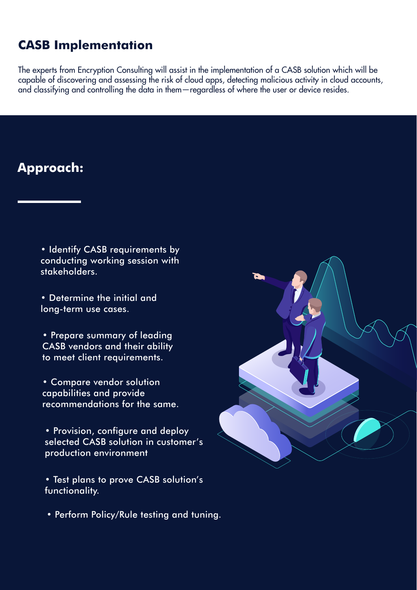## **CASB Implementation**

The experts from Encryption Consulting will assist in the implementation of a CASB solution which will be capable of discovering and assessing the risk of cloud apps, detecting malicious activity in cloud accounts, and classifying and controlling the data in them—regardless of where the user or device resides.

# **Approach:**

• Identify CASB requirements by conducting working session with stakeholders.

• Determine the initial and long-term use cases.

• Prepare summary of leading CASB vendors and their ability to meet client requirements.

• Compare vendor solution capabilities and provide recommendations for the same.

• Provision, configure and deploy selected CASB solution in customer's production environment

• Test plans to prove CASB solution's functionality.

• Perform Policy/Rule testing and tuning.